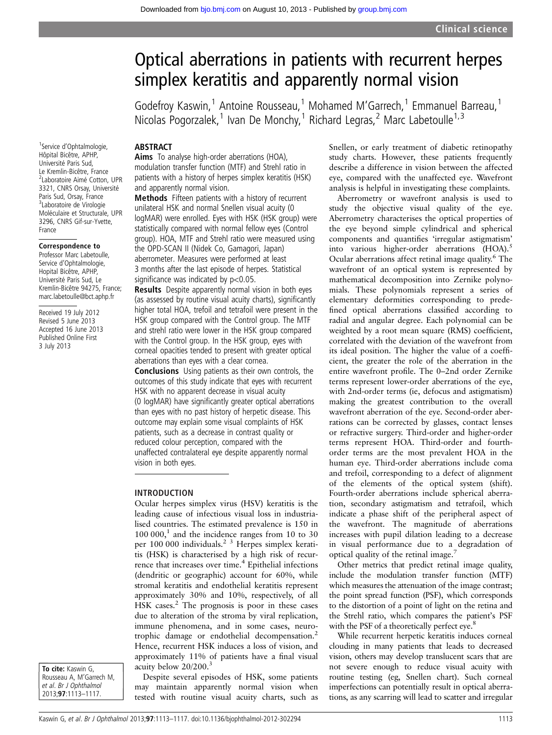# Optical aberrations in patients with recurrent herpes simplex keratitis and apparently normal vision

Godefroy Kaswin,<sup>1</sup> Antoine Rousseau,<sup>1</sup> Mohamed M'Garrech,<sup>1</sup> Emmanuel Barreau,<sup>1</sup> Nicolas Pogorzalek,<sup>1</sup> Ivan De Monchy,<sup>1</sup> Richard Legras,<sup>2</sup> Marc Labetoulle<sup>1,3</sup>

### ABSTRACT

Aims To analyse high-order aberrations (HOA), modulation transfer function (MTF) and Strehl ratio in patients with a history of herpes simplex keratitis (HSK) and apparently normal vision.

Methods Fifteen patients with a history of recurrent unilateral HSK and normal Snellen visual acuity (0 logMAR) were enrolled. Eyes with HSK (HSK group) were statistically compared with normal fellow eyes (Control group). HOA, MTF and Strehl ratio were measured using the OPD-SCAN II (Nidek Co, Gamagori, Japan) aberrometer. Measures were performed at least 3 months after the last episode of herpes. Statistical significance was indicated by  $p<0.05$ .

Results Despite apparently normal vision in both eyes (as assessed by routine visual acuity charts), significantly higher total HOA, trefoil and tetrafoil were present in the HSK group compared with the Control group. The MTF and strehl ratio were lower in the HSK group compared with the Control group. In the HSK group, eyes with corneal opacities tended to present with greater optical aberrations than eyes with a clear cornea.

Conclusions Using patients as their own controls, the outcomes of this study indicate that eyes with recurrent HSK with no apparent decrease in visual acuity (0 logMAR) have significantly greater optical aberrations than eyes with no past history of herpetic disease. This outcome may explain some visual complaints of HSK patients, such as a decrease in contrast quality or reduced colour perception, compared with the unaffected contralateral eye despite apparently normal vision in both eyes.

#### INTRODUCTION

Ocular herpes simplex virus (HSV) keratitis is the leading cause of infectious visual loss in industrialised countries. The estimated prevalence is 150 in  $100 000$ ,<sup>1</sup> and the incidence ranges from 10 to 30 per 100 000 individuals.<sup>2</sup> <sup>3</sup> Herpes simplex keratitis (HSK) is characterised by a high risk of recurrence that increases over time.<sup>4</sup> Epithelial infections (dendritic or geographic) account for 60%, while stromal keratitis and endothelial keratitis represent approximately 30% and 10%, respectively, of all HSK cases.<sup>2</sup> The prognosis is poor in these cases due to alteration of the stroma by viral replication, immune phenomena, and in some cases, neurotrophic damage or endothelial decompensation.2 Hence, recurrent HSK induces a loss of vision, and approximately 11% of patients have a final visual acuity below 20/200.<sup>3</sup>

Despite several episodes of HSK, some patients may maintain apparently normal vision when tested with routine visual acuity charts, such as Snellen, or early treatment of diabetic retinopathy study charts. However, these patients frequently describe a difference in vision between the affected eye, compared with the unaffected eye. Wavefront analysis is helpful in investigating these complaints.

Aberrometry or wavefront analysis is used to study the objective visual quality of the eye. Aberrometry characterises the optical properties of the eye beyond simple cylindrical and spherical components and quantifies 'irregular astigmatism' into various higher-order aberrations (HOA).<sup>5</sup> Ocular aberrations affect retinal image quality.<sup>6</sup> The wavefront of an optical system is represented by mathematical decomposition into Zernike polynomials. These polynomials represent a series of elementary deformities corresponding to predefined optical aberrations classified according to radial and angular degree. Each polynomial can be weighted by a root mean square (RMS) coefficient, correlated with the deviation of the wavefront from its ideal position. The higher the value of a coefficient, the greater the role of the aberration in the entire wavefront profile. The 0–2nd order Zernike terms represent lower-order aberrations of the eye, with 2nd-order terms (ie, defocus and astigmatism) making the greatest contribution to the overall wavefront aberration of the eye. Second-order aberrations can be corrected by glasses, contact lenses or refractive surgery. Third-order and higher-order terms represent HOA. Third-order and fourthorder terms are the most prevalent HOA in the human eye. Third-order aberrations include coma and trefoil, corresponding to a defect of alignment of the elements of the optical system (shift). Fourth-order aberrations include spherical aberration, secondary astigmatism and tetrafoil, which indicate a phase shift of the peripheral aspect of the wavefront. The magnitude of aberrations increases with pupil dilation leading to a decrease in visual performance due to a degradation of optical quality of the retinal image.<sup>7</sup>

Other metrics that predict retinal image quality, include the modulation transfer function (MTF) which measures the attenuation of the image contrast; the point spread function (PSF), which corresponds to the distortion of a point of light on the retina and the Strehl ratio, which compares the patient's PSF with the PSF of a theoretically perfect eye.<sup>8</sup>

While recurrent herpetic keratitis induces corneal clouding in many patients that leads to decreased vision, others may develop translucent scars that are not severe enough to reduce visual acuity with routine testing (eg, Snellen chart). Such corneal imperfections can potentially result in optical aberrations, as any scarring will lead to scatter and irregular

1 Service d'Ophtalmologie, Hôpital Bicêtre, APHP, Université Paris Sud, Le Kremlin-Bicêtre, France 2 Laboratoire Aimé Cotton, UPR 3321, CNRS Orsay, Université Paris Sud, Orsay, France 3 Laboratoire de Virologie Moléculaire et Structurale, UPR 3296, CNRS Gif-sur-Yvette, France

#### Correspondence to

Professor Marc Labetoulle, Service d'Ophtalmologie, Hopital Bicêtre, APHP, Université Paris Sud, Le Kremlin-Bicêtre 94275, France; marc.labetoulle@bct.aphp.fr

Received 19 July 2012 Revised 5 June 2013 Accepted 16 June 2013 Published Online First 3 July 2013

To cite: Kaswin G. Rousseau A, M'Garrech M, et al. Br J Ophthalmol 2013;97:1113–1117.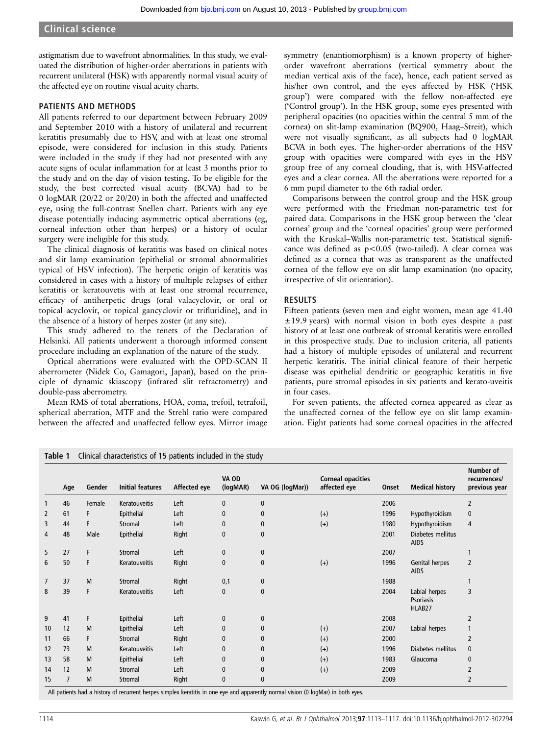astigmatism due to wavefront abnormalities. In this study, we evaluated the distribution of higher-order aberrations in patients with recurrent unilateral (HSK) with apparently normal visual acuity of the affected eye on routine visual acuity charts.

### PATIENTS AND METHODS

All patients referred to our department between February 2009 and September 2010 with a history of unilateral and recurrent keratitis presumably due to HSV, and with at least one stromal episode, were considered for inclusion in this study. Patients were included in the study if they had not presented with any acute signs of ocular inflammation for at least 3 months prior to the study and on the day of vision testing. To be eligible for the study, the best corrected visual acuity (BCVA) had to be 0 logMAR (20/22 or 20/20) in both the affected and unaffected eye, using the full-contrast Snellen chart. Patients with any eye disease potentially inducing asymmetric optical aberrations (eg, corneal infection other than herpes) or a history of ocular surgery were ineligible for this study.

The clinical diagnosis of keratitis was based on clinical notes and slit lamp examination (epithelial or stromal abnormalities typical of HSV infection). The herpetic origin of keratitis was considered in cases with a history of multiple relapses of either keratitis or keratouvetis with at least one stromal recurrence, efficacy of antiherpetic drugs (oral valacyclovir, or oral or topical acyclovir, or topical gancyclovir or trifluridine), and in the absence of a history of herpes zoster (at any site).

This study adhered to the tenets of the Declaration of Helsinki. All patients underwent a thorough informed consent procedure including an explanation of the nature of the study.

Optical aberrations were evaluated with the OPD-SCAN II aberrometer (Nidek Co, Gamagori, Japan), based on the principle of dynamic skiascopy (infrared slit refractometry) and double-pass aberrometry.

Mean RMS of total aberrations, HOA, coma, trefoil, tetrafoil, spherical aberration, MTF and the Strehl ratio were compared between the affected and unaffected fellow eyes. Mirror image

symmetry (enantiomorphism) is a known property of higherorder wavefront aberrations (vertical symmetry about the median vertical axis of the face), hence, each patient served as his/her own control, and the eyes affected by HSK ('HSK group') were compared with the fellow non-affected eye ('Control group'). In the HSK group, some eyes presented with peripheral opacities (no opacities within the central 5 mm of the cornea) on slit-lamp examination (BQ900, Haag–Streit), which were not visually significant, as all subjects had 0 logMAR BCVA in both eyes. The higher-order aberrations of the HSV group with opacities were compared with eyes in the HSV group free of any corneal clouding, that is, with HSV-affected eyes and a clear cornea. All the aberrations were reported for a 6 mm pupil diameter to the 6th radial order.

Comparisons between the control group and the HSK group were performed with the Friedman non-parametric test for paired data. Comparisons in the HSK group between the 'clear cornea' group and the 'corneal opacities' group were performed with the Kruskal–Wallis non-parametric test. Statistical significance was defined as p<0.05 (two-tailed). A clear cornea was defined as a cornea that was as transparent as the unaffected cornea of the fellow eye on slit lamp examination (no opacity, irrespective of slit orientation).

# RESULTS

Fifteen patients (seven men and eight women, mean age 41.40  $\pm$ 19.9 years) with normal vision in both eyes despite a past history of at least one outbreak of stromal keratitis were enrolled in this prospective study. Due to inclusion criteria, all patients had a history of multiple episodes of unilateral and recurrent herpetic keratitis. The initial clinical feature of their herpetic disease was epithelial dendritic or geographic keratitis in five patients, pure stromal episodes in six patients and kerato-uveitis in four cases.

For seven patients, the affected cornea appeared as clear as the unaffected cornea of the fellow eye on slit lamp examination. Eight patients had some corneal opacities in the affected

|                | Age            | Gender | <b>Initial features</b> | Affected eye | VA OD<br>(logMAR) | VA OG (logMar)) | <b>Corneal opacities</b><br>affected eye | Onset | <b>Medical history</b>                      | Number of<br>recurrences/<br>previous year |
|----------------|----------------|--------|-------------------------|--------------|-------------------|-----------------|------------------------------------------|-------|---------------------------------------------|--------------------------------------------|
|                | 46             | Female | Keratouveitis           | Left         | 0                 | 0               |                                          | 2006  |                                             | 2                                          |
| $\overline{2}$ | 61             | F      | Epithelial              | Left         | $\mathbf{0}$      | $\mathbf{0}$    | $(+)$                                    | 1996  | Hypothyroidism                              | 0                                          |
| 3              | 44             | F      | <b>Stromal</b>          | Left         | $\mathbf{0}$      | $\mathbf{0}$    | $(+)$                                    | 1980  | Hypothyroidism                              | 4                                          |
| 4              | 48             | Male   | Epithelial              | Right        | $\bf{0}$          | $\bf{0}$        |                                          | 2001  | Diabetes mellitus<br><b>AIDS</b>            |                                            |
| 5              | 27             | F      | Stromal                 | Left         | 0                 | 0               |                                          | 2007  |                                             | 1                                          |
| 6              | 50             | F      | Keratouveitis           | Right        | $\mathbf{0}$      | $\mathbf{0}$    | $(+)$                                    | 1996  | Genital herpes<br><b>AIDS</b>               | $\overline{2}$                             |
| $\overline{7}$ | 37             | M      | <b>Stromal</b>          | Right        | 0,1               | $\bf{0}$        |                                          | 1988  |                                             | 1                                          |
| 8              | 39             | F      | Keratouveitis           | Left         | $\mathbf{0}$      | $\mathbf{0}$    |                                          | 2004  | Labial herpes<br><b>Psoriasis</b><br>HLAB27 | 3                                          |
| 9              | 41             | F      | Epithelial              | Left         | 0                 | $\mathbf{0}$    |                                          | 2008  |                                             | 2                                          |
| 10             | 12             | M      | Epithelial              | Left         | $\mathbf{0}$      | $\mathbf{0}$    | $(+)$                                    | 2007  | Labial herpes                               |                                            |
| 11             | 66             | F      | Stromal                 | Right        | $\mathbf{0}$      | $\mathbf{0}$    | $(+)$                                    | 2000  |                                             | $\overline{2}$                             |
| 12             | 73             | M      | Keratouveitis           | Left         | $\mathbf{0}$      | $\mathbf{0}$    | $(+)$                                    | 1996  | Diabetes mellitus                           | 0                                          |
| 13             | 58             | M      | Epithelial              | Left         | 0                 | $\bf{0}$        | $(+)$                                    | 1983  | Glaucoma                                    | $\bf{0}$                                   |
| 14             | 12             | M      | Stromal                 | Left         | $\mathbf{0}$      | $\mathbf{0}$    | $(+)$                                    | 2009  |                                             | 2                                          |
| 15             | $\overline{7}$ | M      | Stromal                 | Right        | $\mathbf{0}$      | $\mathbf{0}$    |                                          | 2009  |                                             | 2                                          |

All patients had a history of recurrent herpes simplex keratitis in one eye and apparently normal vision (0 logMar) in both eyes.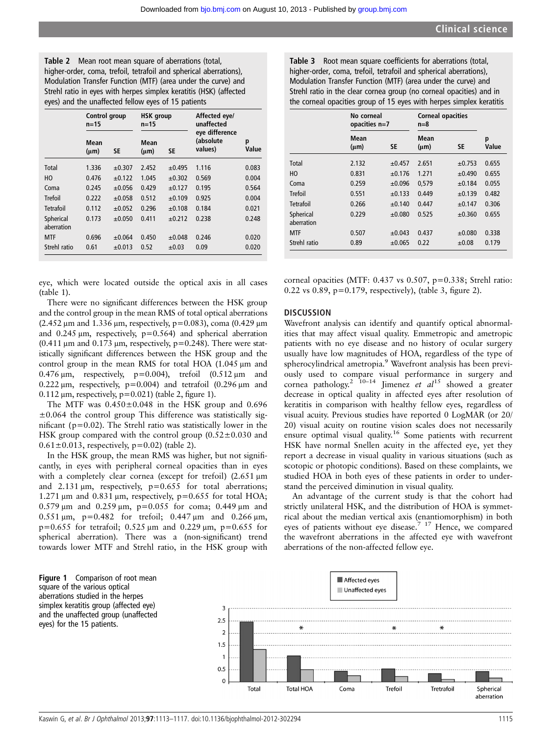Table 2 Mean root mean square of aberrations (total, higher-order, coma, trefoil, tetrafoil and spherical aberrations), Modulation Transfer Function (MTF) (area under the curve) and Strehl ratio in eyes with herpes simplex keratitis (HSK) (affected eyes) and the unaffected fellow eyes of 15 patients

|                         | Control group<br>n=15 |             | <b>HSK</b> group<br>$n = 15$ |             | Affected eye/<br>unaffected            |            |
|-------------------------|-----------------------|-------------|------------------------------|-------------|----------------------------------------|------------|
|                         | Mean<br>$(\mu m)$     | SE          | Mean<br>$(\mu m)$            | SE          | eye difference<br>(absolute<br>values) | p<br>Value |
| Total                   | 1.336                 | ±0.307      | 2.452                        | $\pm 0.495$ | 1.116                                  | 0.083      |
| HO                      | 0.476                 | ±0.122      | 1.045                        | $\pm 0.302$ | 0.569                                  | 0.004      |
| Coma                    | 0.245                 | ±0.056      | 0.429                        | $\pm 0.127$ | 0.195                                  | 0.564      |
| <b>Trefoil</b>          | 0.222                 | ±0.058      | 0.512                        | ±0.109      | 0.925                                  | 0.004      |
| Tetrafoil               | 0.112                 | ±0.052      | 0.296                        | ±0.108      | 0.184                                  | 0.021      |
| Spherical<br>aberration | 0.173                 | ±0.050      | 0.411                        | $\pm 0.212$ | 0.238                                  | 0.248      |
| <b>MTF</b>              | 0.696                 | ±0.064      | 0.450                        | ±0.048      | 0.246                                  | 0.020      |
| Strehl ratio            | 0.61                  | $\pm 0.013$ | 0.52                         | ±0.03       | 0.09                                   | 0.020      |

eye, which were located outside the optical axis in all cases (table 1).

There were no significant differences between the HSK group and the control group in the mean RMS of total optical aberrations (2.452 μm and 1.336 μm, respectively, p=0.083), coma (0.429 μm and 0.245 μm, respectively, p=0.564) and spherical aberration (0.411  $\mu$ m and 0.173  $\mu$ m, respectively, p=0.248). There were statistically significant differences between the HSK group and the control group in the mean RMS for total HOA (1.045 μm and 0.476  $\mu$ m, respectively, p=0.004), trefoil (0.512  $\mu$ m and 0.222  $\mu$ m, respectively, p=0.004) and tetrafoil (0.296  $\mu$ m and  $0.112 \mu m$ , respectively,  $p=0.021$ ) (table 2, figure 1).

The MTF was  $0.450 \pm 0.048$  in the HSK group and  $0.696$  $\pm 0.064$  the control group This difference was statistically significant (p=0.02). The Strehl ratio was statistically lower in the HSK group compared with the control group  $(0.52 \pm 0.030)$  and  $0.61 \pm 0.013$ , respectively, p=0.02) (table 2).

In the HSK group, the mean RMS was higher, but not significantly, in eyes with peripheral corneal opacities than in eyes with a completely clear cornea (except for trefoil) (2.651 μm and 2.131 μm, respectively, p=0.655 for total aberrations; 1.271  $\mu$ m and 0.831  $\mu$ m, respectively, p=0.655 for total HOA; 0.579 μm and 0.259 μm, p=0.055 for coma; 0.449 μm and 0.551 μm, p=0.482 for trefoil; 0.447 μm and 0.266 μm,  $p=0.655$  for tetrafoil; 0.525 μm and 0.229 μm,  $p=0.655$  for spherical aberration). There was a (non-significant) trend towards lower MTF and Strehl ratio, in the HSK group with

Table 3 Root mean square coefficients for aberrations (total, higher-order, coma, trefoil, tetrafoil and spherical aberrations), Modulation Transfer Function (MTF) (area under the curve) and Strehl ratio in the clear cornea group (no corneal opacities) and in the corneal opacities group of 15 eyes with herpes simplex keratitis

|                         |                   | No corneal<br>opacities n=7 |                   | <b>Corneal opacities</b><br>$n=8$ |            |
|-------------------------|-------------------|-----------------------------|-------------------|-----------------------------------|------------|
|                         | Mean<br>$(\mu m)$ | <b>SE</b>                   | Mean<br>$(\mu m)$ | SE                                | p<br>Value |
| Total                   | 2.132             | $\pm 0.457$                 | 2.651             | ±0.753                            | 0.655      |
| HO                      | 0.831             | ±0.176                      | 1.271             | ±0.490                            | 0.655      |
| Coma                    | 0.259             | ±0.096                      | 0,579             | ±0.184                            | 0.055      |
| Trefoil                 | 0.551             | $\pm 0.133$                 | 0.449             | ±0.139                            | 0.482      |
| Tetrafoil               | 0.266             | ±0.140                      | 0.447             | ±0.147                            | 0.306      |
| Spherical<br>aberration | 0.229             | ±0.080                      | 0.525             | ±0.360                            | 0.655      |
| <b>MTF</b>              | 0.507             | ±0.043                      | 0.437             | ±0.080                            | 0.338      |
| Strehl ratio            | 0.89              | ±0.065                      | 0.22              | $\pm 0.08$                        | 0.179      |

corneal opacities (MTF: 0.437 vs 0.507, p=0.338; Strehl ratio: 0.22 vs 0.89, p=0.179, respectively), (table 3, figure 2).

#### **DISCUSSION**

Wavefront analysis can identify and quantify optical abnormalities that may affect visual quality. Emmetropic and ametropic patients with no eye disease and no history of ocular surgery usually have low magnitudes of HOA, regardless of the type of spherocylindrical ametropia.9 Wavefront analysis has been previously used to compare visual performance in surgery and cornea pathology.<sup>2</sup> <sup>10–14</sup> Jimenez *et al*<sup>15</sup> showed a greater decrease in optical quality in affected eyes after resolution of keratitis in comparison with healthy fellow eyes, regardless of visual acuity. Previous studies have reported 0 LogMAR (or 20/ 20) visual acuity on routine vision scales does not necessarily ensure optimal visual quality.<sup>16</sup> Some patients with recurrent HSK have normal Snellen acuity in the affected eye, yet they report a decrease in visual quality in various situations (such as scotopic or photopic conditions). Based on these complaints, we studied HOA in both eyes of these patients in order to understand the perceived diminution in visual quality.

An advantage of the current study is that the cohort had strictly unilateral HSK, and the distribution of HOA is symmetrical about the median vertical axis (enantiomorphism) in both eyes of patients without eye disease.<sup>7</sup> <sup>17</sup> Hence, we compared the wavefront aberrations in the affected eye with wavefront aberrations of the non-affected fellow eye.

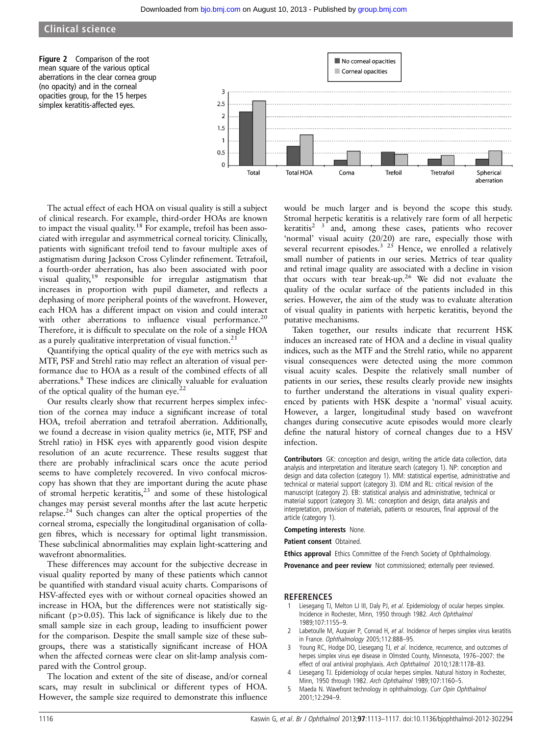## Clinical science

Figure 2 Comparison of the root mean square of the various optical aberrations in the clear cornea group (no opacity) and in the corneal opacities group, for the 15 herpes simplex keratitis-affected eyes.



The actual effect of each HOA on visual quality is still a subject of clinical research. For example, third-order HOAs are known to impact the visual quality.<sup>18</sup> For example, trefoil has been associated with irregular and asymmetrical corneal toricity. Clinically, patients with significant trefoil tend to favour multiple axes of astigmatism during Jackson Cross Cylinder refinement. Tetrafoil, a fourth-order aberration, has also been associated with poor visual quality,<sup>19</sup> responsible for irregular astigmatism that increases in proportion with pupil diameter, and reflects a dephasing of more peripheral points of the wavefront. However, each HOA has a different impact on vision and could interact with other aberrations to influence visual performance.<sup>20</sup> Therefore, it is difficult to speculate on the role of a single HOA as a purely qualitative interpretation of visual function.<sup>2</sup>

Quantifying the optical quality of the eye with metrics such as MTF, PSF and Strehl ratio may reflect an alteration of visual performance due to HOA as a result of the combined effects of all aberrations.<sup>8</sup> These indices are clinically valuable for evaluation of the optical quality of the human eye.<sup>22</sup>

Our results clearly show that recurrent herpes simplex infection of the cornea may induce a significant increase of total HOA, trefoil aberration and tetrafoil aberration. Additionally, we found a decrease in vision quality metrics (ie, MTF, PSF and Strehl ratio) in HSK eyes with apparently good vision despite resolution of an acute recurrence. These results suggest that there are probably infraclinical scars once the acute period seems to have completely recovered. In vivo confocal microscopy has shown that they are important during the acute phase of stromal herpetic keratitis, $2<sup>3</sup>$  and some of these histological changes may persist several months after the last acute herpetic relapse.24 Such changes can alter the optical properties of the corneal stroma, especially the longitudinal organisation of collagen fibres, which is necessary for optimal light transmission. These subclinical abnormalities may explain light-scattering and wavefront abnormalities.

These differences may account for the subjective decrease in visual quality reported by many of these patients which cannot be quantified with standard visual acuity charts. Comparisons of HSV-affected eyes with or without corneal opacities showed an increase in HOA, but the differences were not statistically significant ( $p > 0.05$ ). This lack of significance is likely due to the small sample size in each group, leading to insufficient power for the comparison. Despite the small sample size of these subgroups, there was a statistically significant increase of HOA when the affected corneas were clear on slit-lamp analysis compared with the Control group.

The location and extent of the site of disease, and/or corneal scars, may result in subclinical or different types of HOA. However, the sample size required to demonstrate this influence

would be much larger and is beyond the scope this study. Stromal herpetic keratitis is a relatively rare form of all herpetic keratitis<sup>2</sup>  $\frac{3}{3}$  and, among these cases, patients who recover 'normal' visual acuity (20/20) are rare, especially those with several recurrent episodes.<sup>3</sup> <sup>25</sup> Hence, we enrolled a relatively small number of patients in our series. Metrics of tear quality and retinal image quality are associated with a decline in vision that occurs with tear break-up.26 We did not evaluate the quality of the ocular surface of the patients included in this series. However, the aim of the study was to evaluate alteration of visual quality in patients with herpetic keratitis, beyond the putative mechanisms.

Taken together, our results indicate that recurrent HSK induces an increased rate of HOA and a decline in visual quality indices, such as the MTF and the Strehl ratio, while no apparent visual consequences were detected using the more common visual acuity scales. Despite the relatively small number of patients in our series, these results clearly provide new insights to further understand the alterations in visual quality experienced by patients with HSK despite a 'normal' visual acuity. However, a larger, longitudinal study based on wavefront changes during consecutive acute episodes would more clearly define the natural history of corneal changes due to a HSV infection.

Contributors GK: conception and design, writing the article data collection, data analysis and interpretation and literature search (category 1). NP: conception and design and data collection (category 1). MM: statistical expertise, administrative and technical or material support (category 3). IDM and RL: critical revision of the manuscript (category 2). EB: statistical analysis and administrative, technical or material support (category 3). ML: conception and design, data analysis and interpretation, provision of materials, patients or resources, final approval of the article (category 1).

Competing interests None.

Patient consent Obtained.

**Ethics approval** Ethics Committee of the French Society of Ophthalmology.

Provenance and peer review Not commissioned; externally peer reviewed.

#### REFERENCES

- Liesegang TJ, Melton LJ III, Daly PJ, et al. Epidemiology of ocular herpes simplex. Incidence in Rochester, Minn, 1950 through 1982. Arch Ophthalmol 1989;107:1155–9.
- 2 Labetoulle M, Auquier P, Conrad H, et al. Incidence of herpes simplex virus keratitis in France. Ophthalmology 2005;112:888–95.
- 3 Young RC, Hodge DO, Liesegang TJ, et al. Incidence, recurrence, and outcomes of herpes simplex virus eye disease in Olmsted County, Minnesota, 1976–2007: the effect of oral antiviral prophylaxis. Arch Ophthalmol 2010;128:1178–83.
- Liesegang TJ. Epidemiology of ocular herpes simplex. Natural history in Rochester, Minn, 1950 through 1982. Arch Ophthalmol 1989;107:1160–5.
- 5 Maeda N. Wavefront technology in ophthalmology. Curr Opin Ophthalmol 2001;12:294–9.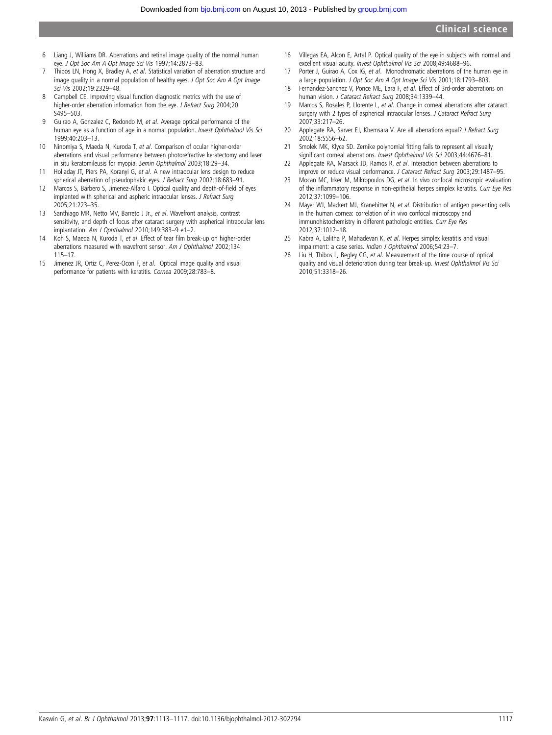- 6 Liang J, Williams DR. Aberrations and retinal image quality of the normal human eye. J Opt Soc Am A Opt Image Sci Vis 1997;14:2873–83.
- 7 Thibos LN, Hong X, Bradley A, et al. Statistical variation of aberration structure and image quality in a normal population of healthy eyes. J Opt Soc Am A Opt Image Sci Vis 2002;19:2329–48.
- 8 Campbell CE. Improving visual function diagnostic metrics with the use of higher-order aberration information from the eye. J Refract Surg 2004;20: S495–503.
- 9 Guirao A, Gonzalez C, Redondo M, et al. Average optical performance of the human eye as a function of age in a normal population. Invest Ophthalmol Vis Sci 1999;40:203–13.
- 10 Ninomiya S, Maeda N, Kuroda T, et al. Comparison of ocular higher-order aberrations and visual performance between photorefractive keratectomy and laser in situ keratomileusis for myopia. Semin Ophthalmol 2003;18:29–34.
- 11 Holladay JT, Piers PA, Koranyi G, et al. A new intraocular lens design to reduce spherical aberration of pseudophakic eyes. J Refract Surg 2002;18:683–91.
- 12 Marcos S, Barbero S, Jimenez-Alfaro I. Optical quality and depth-of-field of eyes implanted with spherical and aspheric intraocular lenses. J Refract Surg 2005;21:223–35.
- 13 Santhiago MR, Netto MV, Barreto J Jr., et al. Wavefront analysis, contrast sensitivity, and depth of focus after cataract surgery with aspherical intraocular lens implantation. Am J Ophthalmol 2010;149:383–9 e1–2.
- 14 Koh S, Maeda N, Kuroda T, et al. Effect of tear film break-up on higher-order aberrations measured with wavefront sensor. Am J Ophthalmol 2002;134: 115–17.
- 15 Jimenez JR, Ortiz C, Perez-Ocon F, et al. Optical image quality and visual performance for patients with keratitis. Cornea 2009;28:783–8.
- 16 Villegas EA, Alcon E, Artal P. Optical quality of the eye in subjects with normal and excellent visual acuity. Invest Ophthalmol Vis Sci 2008;49:4688–96.
- 17 Porter J, Guirao A, Cox IG, et al. Monochromatic aberrations of the human eye in a large population. J Opt Soc Am A Opt Image Sci Vis 2001;18:1793–803.
- 18 Fernandez-Sanchez V, Ponce ME, Lara F, et al. Effect of 3rd-order aberrations on human vision. J Cataract Refract Surg 2008;34:1339–44.
- 19 Marcos S, Rosales P, Llorente L, et al. Change in corneal aberrations after cataract surgery with 2 types of aspherical intraocular lenses. J Cataract Refract Surg 2007;33:217–26.
- 20 Applegate RA, Sarver EJ, Khemsara V. Are all aberrations equal? J Refract Surg 2002;18:S556–62.
- 21 Smolek MK, Klyce SD. Zernike polynomial fitting fails to represent all visually significant corneal aberrations. Invest Ophthalmol Vis Sci 2003;44:4676–81.
- 22 Applegate RA, Marsack JD, Ramos R, et al. Interaction between aberrations to improve or reduce visual performance. J Cataract Refract Surg 2003;29:1487–95.
- 23 Mocan MC, Irkec M, Mikropoulos DG, et al. In vivo confocal microscopic evaluation of the inflammatory response in non-epithelial herpes simplex keratitis. Curr Eye Res 2012;37:1099–106.
- 24 Mayer WJ, Mackert MJ, Kranebitter N, et al. Distribution of antigen presenting cells in the human cornea: correlation of in vivo confocal microscopy and immunohistochemistry in different pathologic entities. Curr Eye Res 2012;37:1012–18.
- 25 Kabra A, Lalitha P, Mahadevan K, et al. Herpes simplex keratitis and visual impairment: a case series. Indian J Ophthalmol 2006;54:23–7.
- 26 Liu H, Thibos L, Begley CG, et al. Measurement of the time course of optical quality and visual deterioration during tear break-up. Invest Ophthalmol Vis Sci 2010;51:3318–26.